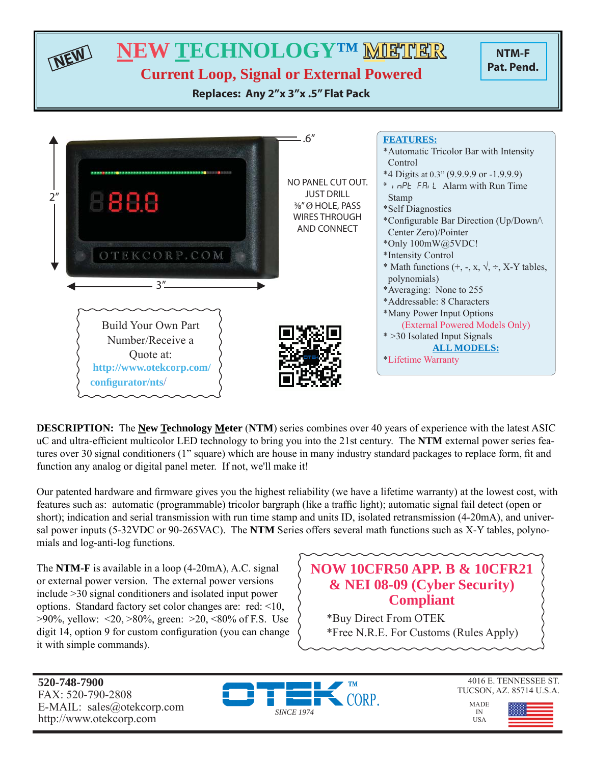

**NEW TECHNOLOGY™ METHER** 

**Current Loop, Signal or External Powered**

**Replaces: Any 2"x 3"x .5" Flat Pack**





**DESCRIPTION:** The **New Technology Meter** (**NTM**) series combines over 40 years of experience with the latest ASIC uC and ultra-efficient multicolor LED technology to bring you into the 21st century. The NTM external power series features over 30 signal conditioners (1" square) which are house in many industry standard packages to replace form, fit and function any analog or digital panel meter. If not, we'll make it!

Our patented hardware and firmware gives you the highest reliability (we have a lifetime warranty) at the lowest cost, with features such as: automatic (programmable) tricolor bargraph (like a traffic light); automatic signal fail detect (open or short); indication and serial transmission with run time stamp and units ID, isolated retransmission (4-20mA), and universal power inputs (5-32VDC or 90-265VAC). The **NTM** Series offers several math functions such as X-Y tables, polynomials and log-anti-log functions.

The **NTM-F** is available in a loop (4-20mA), A.C. signal or external power version. The external power versions include >30 signal conditioners and isolated input power options. Standard factory set color changes are: red: <10,  $>90\%$ , yellow: <20,  $>80\%$ , green:  $>20$ , <80% of F.S. Use digit 14, option 9 for custom configuration (you can change it with simple commands).

# **NOW 10CFR50 APP. B & 10CFR21 & NEI 08-09 (Cyber Security) Compliant**

\*Buy Direct From OTEK \*Free N.R.E. For Customs (Rules Apply)

**520-748-7900** FAX: 520-790-2808 E-MAIL: sales@otekcorp.com http://www.otekcorp.com





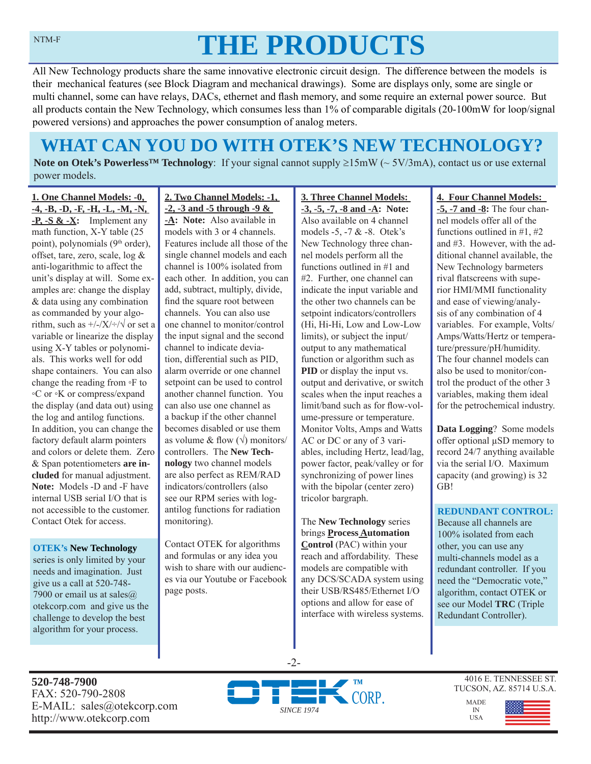# **THE PRODUCTS**

All New Technology products share the same innovative electronic circuit design. The difference between the models is their mechanical features (see Block Diagram and mechanical drawings). Some are displays only, some are single or multi channel, some can have relays, DACs, ethernet and flash memory, and some require an external power source. But all products contain the New Technology, which consumes less than 1% of comparable digitals (20-100mW for loop/signal powered versions) and approaches the power consumption of analog meters.

# **WHAT CAN YOU DO WITH OTEK'S NEW TECHNOLOGY?**

**Note on Otek's Powerless<sup>TM</sup> Technology**: If your signal cannot supply  $\geq 15 \text{mW}$  ( $\sim 5V/3 \text{mA}$ ), contact us or use external power models.

**1. One Channel Models: -0, -4, -B, -D, -F, -H, -L, -M, -N, -P, -S & -X:** Implement any math function, X-Y table (25 point), polynomials (9<sup>th</sup> order), offset, tare, zero, scale, log & anti-logarithmic to affect the unit's display at will. Some examples are: change the display & data using any combination as commanded by your algorithm, such as  $\frac{+}{-}\times\frac{+}{\sqrt{}}$  or set a variable or linearize the display using X-Y tables or polynomials. This works well for odd shape containers. You can also change the reading from ◦F to ◦C or ◦K or compress/expand the display (and data out) using the log and antilog functions. In addition, you can change the factory default alarm pointers and colors or delete them. Zero & Span potentiometers **are included** for manual adjustment. **Note:** Models -D and -F have internal USB serial I/O that is not accessible to the customer. Contact Otek for access.

#### **OTEK's New Technology**

series is only limited by your needs and imagination. Just give us a call at 520-748- 7900 or email us at sales $@$ otekcorp.com and give us the challenge to develop the best algorithm for your process.

# **2. Two Channel Models: -1, -2, -3 and -5 through -9 &**

**-A: Note:** Also available in models with 3 or 4 channels. Features include all those of the single channel models and each channel is 100% isolated from each other. In addition, you can add, subtract, multiply, divide, find the square root between channels. You can also use one channel to monitor/control the input signal and the second channel to indicate deviation, differential such as PID, alarm override or one channel setpoint can be used to control another channel function. You can also use one channel as a backup if the other channel becomes disabled or use them as volume & flow  $(\sqrt{})$  monitors/ controllers. The **New Technology** two channel models are also perfect as REM/RAD indicators/controllers (also see our RPM series with logantilog functions for radiation monitoring).

Contact OTEK for algorithms and formulas or any idea you wish to share with our audiences via our Youtube or Facebook page posts.

### **3. Three Channel Models: -3, -5, -7, -8 and -A: Note:**  Also available on 4 channel models -5, -7 & -8. Otek's New Technology three channel models perform all the functions outlined in #1 and #2. Further, one channel can indicate the input variable and the other two channels can be setpoint indicators/controllers (Hi, Hi-Hi, Low and Low-Low limits), or subject the input/ output to any mathematical function or algorithm such as **PID** or display the input vs. output and derivative, or switch scales when the input reaches a limit/band such as for flow-volume-pressure or temperature. Monitor Volts, Amps and Watts AC or DC or any of 3 variables, including Hertz, lead/lag, power factor, peak/valley or for synchronizing of power lines with the bipolar (center zero) tricolor bargraph.

The **New Technology** series brings **Process Automation Control** (PAC) within your reach and affordability. These models are compatible with any DCS/SCADA system using their USB/RS485/Ethernet I/O options and allow for ease of interface with wireless systems.

# **4. Four Channel Models:**

**-5, -7 and -8:** The four channel models offer all of the functions outlined in #1, #2 and #3. However, with the additional channel available, the New Technology barmeters rival flatscreens with superior HMI/MMI functionality and ease of viewing/analysis of any combination of 4 variables. For example, Volts/ Amps/Watts/Hertz or temperature/pressure/pH/humidity. The four channel models can also be used to monitor/control the product of the other 3 variables, making them ideal for the petrochemical industry.

**Data Logging**? Some models offer optional μSD memory to record 24/7 anything available via the serial I/O. Maximum capacity (and growing) is 32 GB!

# **REDUNDANT CONTROL:**

Because all channels are 100% isolated from each other, you can use any multi-channels model as a redundant controller. If you need the "Democratic vote," algorithm, contact OTEK or see our Model **TRC** (Triple Redundant Controller).

**520-748-7900** FAX: 520-790-2808 E-MAIL: sales@otekcorp.com http://www.otekcorp.com



-2-

4016 E. TENNESSEE ST. TUCSON, AZ. 85714 U.S.A.

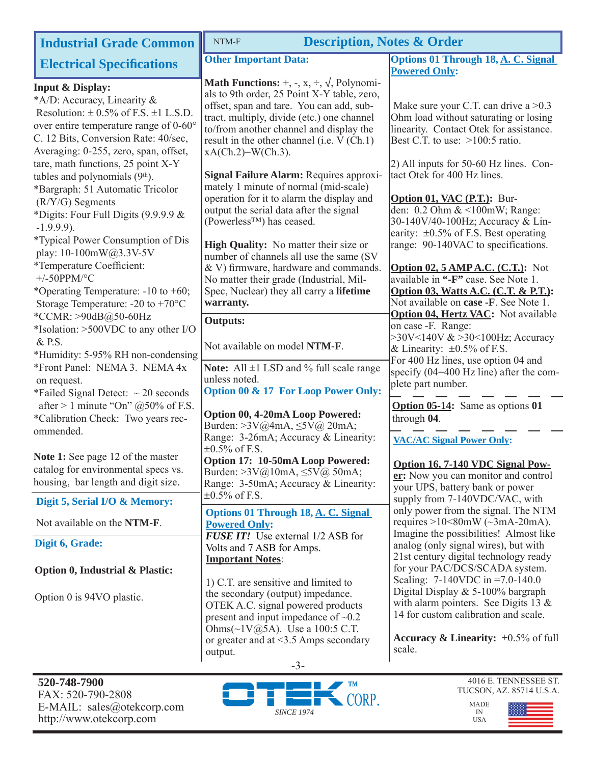| <b>Industrial Grade Common</b>                                                                                                                                                                                                                                                                                                                                                                                                                                                                                                                                                                                                                                                                                                                                                                                                                                                                        | NTM-F<br><b>Description, Notes &amp; Order</b>                                                                                                                                                                                                                                                                                                                                                                                                                                                                                                                                                                                                                                                                                                                                                                                                                                                                                                                                  |                                                                                                                                                                                                                                                                                                                                                                                                                                                                                                                                                                                                                                                                                                                                                                                                                                                                                                                                |  |
|-------------------------------------------------------------------------------------------------------------------------------------------------------------------------------------------------------------------------------------------------------------------------------------------------------------------------------------------------------------------------------------------------------------------------------------------------------------------------------------------------------------------------------------------------------------------------------------------------------------------------------------------------------------------------------------------------------------------------------------------------------------------------------------------------------------------------------------------------------------------------------------------------------|---------------------------------------------------------------------------------------------------------------------------------------------------------------------------------------------------------------------------------------------------------------------------------------------------------------------------------------------------------------------------------------------------------------------------------------------------------------------------------------------------------------------------------------------------------------------------------------------------------------------------------------------------------------------------------------------------------------------------------------------------------------------------------------------------------------------------------------------------------------------------------------------------------------------------------------------------------------------------------|--------------------------------------------------------------------------------------------------------------------------------------------------------------------------------------------------------------------------------------------------------------------------------------------------------------------------------------------------------------------------------------------------------------------------------------------------------------------------------------------------------------------------------------------------------------------------------------------------------------------------------------------------------------------------------------------------------------------------------------------------------------------------------------------------------------------------------------------------------------------------------------------------------------------------------|--|
| <b>Electrical Specifications</b>                                                                                                                                                                                                                                                                                                                                                                                                                                                                                                                                                                                                                                                                                                                                                                                                                                                                      | <b>Other Important Data:</b>                                                                                                                                                                                                                                                                                                                                                                                                                                                                                                                                                                                                                                                                                                                                                                                                                                                                                                                                                    | <b>Options 01 Through 18, A. C. Signal</b>                                                                                                                                                                                                                                                                                                                                                                                                                                                                                                                                                                                                                                                                                                                                                                                                                                                                                     |  |
| <b>Input &amp; Display:</b><br>*A/D: Accuracy, Linearity &<br>Resolution: $\pm$ 0.5% of F.S. $\pm$ 1 L.S.D.<br>over entire temperature range of 0-60°<br>C. 12 Bits, Conversion Rate: 40/sec,<br>Averaging: 0-255, zero, span, offset,<br>tare, math functions, 25 point X-Y<br>tables and polynomials (9th).<br>*Bargraph: 51 Automatic Tricolor<br>(R/Y/G) Segments<br>*Digits: Four Full Digits (9.9.9.9 &<br>$-1.9.9.9$ ).<br><i>*</i> Typical Power Consumption of Dis<br>play: 10-100mW@3.3V-5V<br>*Temperature Coefficient:<br>$+/$ -50PPM/°C<br>*Operating Temperature: $-10$ to $+60$ ;<br>Storage Temperature: -20 to +70 $^{\circ}$ C<br>*CCMR: >90dB@50-60Hz<br>*Isolation: >500VDC to any other I/O<br>& P.S.<br>*Humidity: 5-95% RH non-condensing<br>*Front Panel: NEMA 3. NEMA 4x<br>on request.<br>*Failed Signal Detect: $\sim$ 20 seconds<br>after > 1 minute "On" $@50\%$ of F.S. | <b>Math Functions:</b> +, -, x, $\div$ , $\sqrt{ }$ , Polynomi-<br>als to 9th order, 25 Point X-Y table, zero,<br>offset, span and tare. You can add, sub-<br>tract, multiply, divide (etc.) one channel<br>to/from another channel and display the<br>result in the other channel (i.e. V (Ch.1)<br>$xA(Ch.2)=W(Ch.3)$ .<br>Signal Failure Alarm: Requires approxi-<br>mately 1 minute of normal (mid-scale)<br>operation for it to alarm the display and<br>output the serial data after the signal<br>(Powerless <sup>TM</sup> ) has ceased.<br>High Quality: No matter their size or<br>number of channels all use the same (SV<br>& V) firmware, hardware and commands.<br>No matter their grade (Industrial, Mil-<br>Spec, Nuclear) they all carry a lifetime<br>warranty.<br><b>Outputs:</b><br>Not available on model NTM-F.<br>Note: All $\pm 1$ LSD and % full scale range<br>unless noted.<br>Option 00 & 17 For Loop Power Only:<br>Option 00, 4-20mA Loop Powered: | <b>Powered Only:</b><br>Make sure your C.T. can drive a $>0.3$<br>Ohm load without saturating or losing<br>linearity. Contact Otek for assistance.<br>Best C.T. to use: $>100:5$ ratio.<br>2) All inputs for 50-60 Hz lines. Con-<br>tact Otek for 400 Hz lines.<br>Option 01, VAC (P.T.): Bur-<br>den: 0.2 Ohm & <100mW; Range:<br>30-140V/40-100Hz; Accuracy & Lin-<br>earity: $\pm 0.5\%$ of F.S. Best operating<br>range: 90-140VAC to specifications.<br><b>Option 02, 5 AMP A.C. (C.T.):</b> Not<br>available in "-F" case. See Note 1.<br>Option 03, Watts A.C. (C.T. & P.T.):<br>Not available on case -F. See Note 1.<br><b>Option 04, Hertz VAC:</b> Not available<br>on case -F. Range:<br>$>30$ V < 140V & $>30$ < 100Hz; Accuracy<br>& Linearity: $\pm 0.5\%$ of F.S.<br>For 400 Hz lines, use option 04 and<br>specify (04=400 Hz line) after the com-<br>plete part number.<br>Option 05-14: Same as options 01 |  |
| *Calibration Check: Two years rec-<br>ommended.<br>Note 1: See page 12 of the master<br>catalog for environmental specs vs.<br>housing, bar length and digit size.                                                                                                                                                                                                                                                                                                                                                                                                                                                                                                                                                                                                                                                                                                                                    | Burden: $>3V$ @4mA, $\leq$ 5V@ 20mA;<br>Range: 3-26mA; Accuracy & Linearity:<br>$\pm 0.5\%$ of F.S.<br>Option 17: 10-50mA Loop Powered:<br>Burden: $>3V$ (a)10mA, $\leq$ 5V (a) 50mA;<br>Range: 3-50mA; Accuracy & Linearity:                                                                                                                                                                                                                                                                                                                                                                                                                                                                                                                                                                                                                                                                                                                                                   | through 04.<br><b>VAC/AC Signal Power Only:</b><br>Option 16, 7-140 VDC Signal Pow-<br>er: Now you can monitor and control                                                                                                                                                                                                                                                                                                                                                                                                                                                                                                                                                                                                                                                                                                                                                                                                     |  |
| Digit 5, Serial I/O & Memory:                                                                                                                                                                                                                                                                                                                                                                                                                                                                                                                                                                                                                                                                                                                                                                                                                                                                         | $\pm 0.5\%$ of F.S.                                                                                                                                                                                                                                                                                                                                                                                                                                                                                                                                                                                                                                                                                                                                                                                                                                                                                                                                                             | your UPS, battery bank or power<br>supply from 7-140VDC/VAC, with                                                                                                                                                                                                                                                                                                                                                                                                                                                                                                                                                                                                                                                                                                                                                                                                                                                              |  |
| Not available on the NTM-F.                                                                                                                                                                                                                                                                                                                                                                                                                                                                                                                                                                                                                                                                                                                                                                                                                                                                           | <b>Options 01 Through 18, A. C. Signal</b><br><b>Powered Only:</b>                                                                                                                                                                                                                                                                                                                                                                                                                                                                                                                                                                                                                                                                                                                                                                                                                                                                                                              | only power from the signal. The NTM<br>requires $>10<80$ mW ( $\sim$ 3mA-20mA).                                                                                                                                                                                                                                                                                                                                                                                                                                                                                                                                                                                                                                                                                                                                                                                                                                                |  |
| Digit 6, Grade:                                                                                                                                                                                                                                                                                                                                                                                                                                                                                                                                                                                                                                                                                                                                                                                                                                                                                       | <b>FUSE IT!</b> Use external 1/2 ASB for<br>Volts and 7 ASB for Amps.                                                                                                                                                                                                                                                                                                                                                                                                                                                                                                                                                                                                                                                                                                                                                                                                                                                                                                           | Imagine the possibilities! Almost like<br>analog (only signal wires), but with                                                                                                                                                                                                                                                                                                                                                                                                                                                                                                                                                                                                                                                                                                                                                                                                                                                 |  |
| <b>Option 0, Industrial &amp; Plastic:</b><br>Option 0 is 94VO plastic.                                                                                                                                                                                                                                                                                                                                                                                                                                                                                                                                                                                                                                                                                                                                                                                                                               | <b>Important Notes:</b><br>1) C.T. are sensitive and limited to<br>the secondary (output) impedance.<br>OTEK A.C. signal powered products<br>present and input impedance of $\sim 0.2$                                                                                                                                                                                                                                                                                                                                                                                                                                                                                                                                                                                                                                                                                                                                                                                          | 21st century digital technology ready<br>for your PAC/DCS/SCADA system.<br>Scaling: $7-140$ VDC in $=7.0-140.0$<br>Digital Display $& 5-100\%$ bargraph<br>with alarm pointers. See Digits 13 $\&$<br>14 for custom calibration and scale.                                                                                                                                                                                                                                                                                                                                                                                                                                                                                                                                                                                                                                                                                     |  |
|                                                                                                                                                                                                                                                                                                                                                                                                                                                                                                                                                                                                                                                                                                                                                                                                                                                                                                       | Ohms $(\sim 1 \text{V} \text{Q} 5 \text{A})$ . Use a 100:5 C.T.<br>or greater and at $\leq$ 3.5 Amps secondary<br>output.<br>$-3-$                                                                                                                                                                                                                                                                                                                                                                                                                                                                                                                                                                                                                                                                                                                                                                                                                                              | <b>Accuracy &amp; Linearity:</b> $\pm 0.5\%$ of full<br>scale.                                                                                                                                                                                                                                                                                                                                                                                                                                                                                                                                                                                                                                                                                                                                                                                                                                                                 |  |
| 520-748-7900<br>FAX: 520-790-2808                                                                                                                                                                                                                                                                                                                                                                                                                                                                                                                                                                                                                                                                                                                                                                                                                                                                     | TM<br>$\bigcap_{n\geq n}$                                                                                                                                                                                                                                                                                                                                                                                                                                                                                                                                                                                                                                                                                                                                                                                                                                                                                                                                                       | 4016 E. TENNESSEE ST.<br>TUCSON, AZ. 85714 U.S.A.                                                                                                                                                                                                                                                                                                                                                                                                                                                                                                                                                                                                                                                                                                                                                                                                                                                                              |  |

FAX: 520-790-2808 E-MAIL: sales@otekcorp.com http://www.otekcorp.com

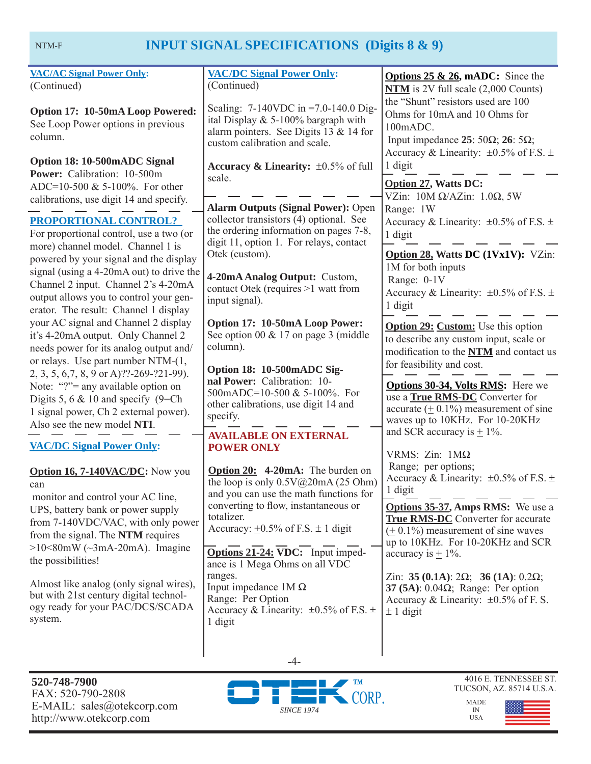# **INPUT SIGNAL SPECIFICATIONS (Digits 8 & 9)**

| <b>VAC/AC Signal Power Only:</b><br>(Continued)<br>Option 17: 10-50mA Loop Powered:<br>See Loop Power options in previous<br>column.<br>Option 18: 10-500mADC Signal<br>Power: Calibration: 10-500m                                                                                                                                                                                                               | <b>VAC/DC Signal Power Only:</b><br>(Continued)<br>Scaling: $7-140$ VDC in =7.0-140.0 Dig-<br>ital Display $& 5-100\%$ bargraph with<br>alarm pointers. See Digits 13 & 14 for<br>custom calibration and scale.<br>Accuracy & Linearity: $\pm 0.5\%$ of full                  | <b>Options 25 &amp; 26, mADC:</b> Since the<br>$NTM$ is 2V full scale $(2,000$ Counts)<br>the "Shunt" resistors used are 100<br>Ohms for 10mA and 10 Ohms for<br>100mADC.<br>Input impedance 25: 50 $\Omega$ ; 26: 5 $\Omega$ ;<br>Accuracy & Linearity: $\pm 0.5\%$ of F.S. $\pm$<br>1 digit                                                      |  |
|-------------------------------------------------------------------------------------------------------------------------------------------------------------------------------------------------------------------------------------------------------------------------------------------------------------------------------------------------------------------------------------------------------------------|-------------------------------------------------------------------------------------------------------------------------------------------------------------------------------------------------------------------------------------------------------------------------------|----------------------------------------------------------------------------------------------------------------------------------------------------------------------------------------------------------------------------------------------------------------------------------------------------------------------------------------------------|--|
| ADC=10-500 & 5-100%. For other<br>calibrations, use digit 14 and specify.<br><b>PROPORTIONAL CONTROL?</b><br>For proportional control, use a two (or<br>more) channel model. Channel 1 is<br>powered by your signal and the display<br>signal (using a 4-20mA out) to drive the<br>Channel 2 input. Channel 2's 4-20mA                                                                                            | scale.<br><b>Alarm Outputs (Signal Power): Open</b><br>collector transistors (4) optional. See<br>the ordering information on pages 7-8,<br>digit 11, option 1. For relays, contact<br>Otek (custom).<br>4-20mA Analog Output: Custom,<br>contact Otek (requires >1 watt from | <b>Option 27, Watts DC:</b><br>VZin: $10M \Omega/AZ$ in: $1.0\Omega$ , 5W<br>Range: 1W<br>Accuracy & Linearity: $\pm 0.5\%$ of F.S. $\pm$<br>1 digit<br>Option 28, Watts DC (1Vx1V): VZin:<br>1M for both inputs<br>Range: 0-1V                                                                                                                    |  |
| output allows you to control your gen-<br>erator. The result: Channel 1 display<br>your AC signal and Channel 2 display<br>it's 4-20mA output. Only Channel 2<br>needs power for its analog output and/<br>or relays. Use part number NTM-(1,<br>2, 3, 5, 6, 7, 8, 9 or A)??-269-?21-99).<br>Note: "?"= any available option on<br>Digits 5, 6 $& 10$ and specify (9=Ch)<br>1 signal power, Ch 2 external power). | input signal).<br>Option 17: 10-50mA Loop Power:<br>See option 00 $& 17$ on page 3 (middle<br>column).<br>Option 18: 10-500mADC Sig-<br>nal Power: Calibration: 10-<br>500mADC=10-500 & 5-100%. For<br>other calibrations, use digit 14 and                                   | Accuracy & Linearity: $\pm 0.5\%$ of F.S. $\pm$<br>1 digit<br><b>Option 29: Custom:</b> Use this option<br>to describe any custom input, scale or<br>modification to the NTM and contact us<br>for feasibility and cost.<br><b>Options 30-34, Volts RMS:</b> Here we<br>use a True RMS-DC Converter for<br>accurate $(± 0.1%)$ measurement of sine |  |
| Also see the new model NTI.<br><b>VAC/DC Signal Power Only:</b><br>Option 16, 7-140VAC/DC: Now you<br>can                                                                                                                                                                                                                                                                                                         | specify.<br><b>AVAILABLE ON EXTERNAL</b><br><b>POWER ONLY</b><br>Option 20: 4-20mA: The burden on<br>the loop is only $0.5V@20mA(25 Ohm)$                                                                                                                                     | waves up to 10KHz. For 10-20KHz<br>and SCR accuracy is $\pm$ 1%.<br>VRMS: $Zin$ : $1M\Omega$<br>Range; per options;<br>Accuracy & Linearity: $\pm 0.5\%$ of F.S. $\pm$                                                                                                                                                                             |  |
| monitor and control your AC line,<br>UPS, battery bank or power supply<br>from 7-140VDC/VAC, with only power<br>from the signal. The NTM requires<br>$>10<80$ mW ( $\sim$ 3mA-20mA). Imagine<br>the possibilities!                                                                                                                                                                                                | and you can use the math functions for<br>converting to flow, instantaneous or<br>totalizer.<br>Accuracy: $\pm 0.5\%$ of F.S. $\pm 1$ digit<br>Options 21-24: VDC: Input imped-<br>ance is 1 Mega Ohms on all VDC                                                             | 1 digit<br><b>Options 35-37, Amps RMS:</b> We use a<br>True RMS-DC Converter for accurate<br>$(± 0.1%)$ measurement of sine waves<br>up to 10KHz. For 10-20KHz and SCR<br>accuracy is $\pm$ 1%.                                                                                                                                                    |  |
| Almost like analog (only signal wires),<br>but with 21st century digital technol-<br>ogy ready for your PAC/DCS/SCADA<br>system.                                                                                                                                                                                                                                                                                  | ranges.<br>Input impedance $1M\Omega$<br>Range: Per Option<br>Accuracy & Linearity: $\pm 0.5\%$ of F.S. $\pm$<br>1 digit<br>$-4-$                                                                                                                                             | Zin: 35 (0.1A): $2\Omega$ ; 36 (1A): 0.2 $\Omega$ ;<br>37 (5A): $0.04\Omega$ ; Range: Per option<br>Accuracy & Linearity: $\pm 0.5\%$ of F. S.<br>$\pm$ 1 digit                                                                                                                                                                                    |  |
| 520-748-7900                                                                                                                                                                                                                                                                                                                                                                                                      | $\blacksquare$ TM                                                                                                                                                                                                                                                             | 4016 E. TENNESSEE ST.                                                                                                                                                                                                                                                                                                                              |  |





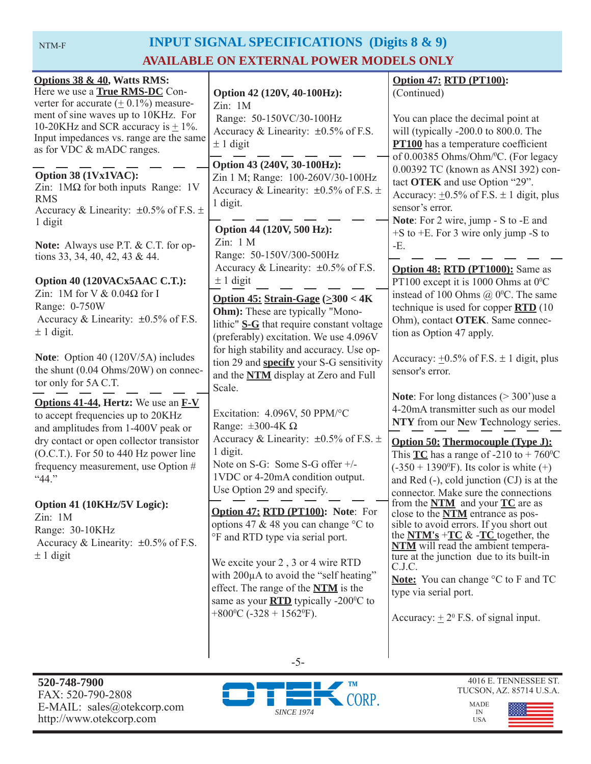NTM-F

# **INPUT SIGNAL SPECIFICATIONS (Digits 8 & 9) AVAILABLE ON EXTERNAL POWER MODELS ONLY**

| Options 38 & 40, Watts RMS:<br>Here we use a <b>True RMS-DC</b> Con-<br>verter for accurate $(± 0.1%)$ measure-<br>ment of sine waves up to 10KHz. For<br>10-20KHz and SCR accuracy is $\pm$ 1%.<br>Input impedances vs. range are the same<br>as for VDC & mADC ranges.<br>Option 38 (1Vx1VAC):<br>Zin: $1\text{M}\Omega$ for both inputs Range: 1V<br><b>RMS</b> | Option 42 (120V, 40-100Hz):<br>Zin: 1M<br>Range: 50-150VC/30-100Hz<br>Accuracy & Linearity: $\pm 0.5\%$ of F.S.<br>$\pm$ 1 digit<br>Option 43 (240V, 30-100Hz):<br>Zin 1 M; Range: 100-260V/30-100Hz<br>Accuracy & Linearity: $\pm 0.5\%$ of F.S. $\pm$                                                                                                                          | <b>Option 47: RTD (PT100):</b><br>(Continued)<br>You can place the decimal point at<br>will (typically -200.0 to 800.0. The<br><b>PT100</b> has a temperature coefficient<br>of 0.00385 Ohms/Ohm/°C. (For legacy<br>0.00392 TC (known as ANSI 392) con-<br>tact OTEK and use Option "29".<br>Accuracy: $\pm 0.5\%$ of F.S. $\pm$ 1 digit, plus                                                                                |  |
|--------------------------------------------------------------------------------------------------------------------------------------------------------------------------------------------------------------------------------------------------------------------------------------------------------------------------------------------------------------------|----------------------------------------------------------------------------------------------------------------------------------------------------------------------------------------------------------------------------------------------------------------------------------------------------------------------------------------------------------------------------------|-------------------------------------------------------------------------------------------------------------------------------------------------------------------------------------------------------------------------------------------------------------------------------------------------------------------------------------------------------------------------------------------------------------------------------|--|
| Accuracy & Linearity: $\pm 0.5\%$ of F.S. $\pm$<br>1 digit<br>Note: Always use P.T. & C.T. for op-                                                                                                                                                                                                                                                                 | 1 digit.<br>Option 44 (120V, 500 Hz):<br>Zin: 1 M<br>Range: 50-150V/300-500Hz                                                                                                                                                                                                                                                                                                    | sensor's error.<br>Note: For 2 wire, jump - S to -E and<br>$+$ S to $+$ E. For 3 wire only jump -S to<br>-E.                                                                                                                                                                                                                                                                                                                  |  |
| tions 33, 34, 40, 42, 43 & 44.<br>Option 40 (120VACx5AAC C.T.):<br>Zin: 1M for V $& 0.04\Omega$ for I<br>Range: 0-750W<br>Accuracy & Linearity: $\pm 0.5\%$ of F.S.<br>$\pm$ 1 digit.                                                                                                                                                                              | Accuracy & Linearity: $\pm 0.5\%$ of F.S.<br>$\pm$ 1 digit<br>Option 45: Strain-Gage $(\geq 300 < 4K)$<br><b>Ohm</b> : These are typically "Mono-<br>lithic" S-G that require constant voltage<br>(preferably) excitation. We use 4.096V                                                                                                                                         | Option 48: RTD (PT1000): Same as<br>PT100 except it is 1000 Ohms at $0^{\circ}$ C<br>instead of 100 Ohms $\omega$ 0°C. The same<br>technique is used for copper <b>RTD</b> (10)<br>Ohm), contact OTEK. Same connec-<br>tion as Option 47 apply.                                                                                                                                                                               |  |
| Note: Option 40 (120V/5A) includes<br>the shunt (0.04 Ohms/20W) on connec-<br>tor only for 5A C.T.                                                                                                                                                                                                                                                                 | for high stability and accuracy. Use op-<br>tion 29 and <b>specify</b> your S-G sensitivity<br>and the <b>NTM</b> display at Zero and Full<br>Scale.                                                                                                                                                                                                                             | Accuracy: $\pm 0.5\%$ of F.S. $\pm$ 1 digit, plus<br>sensor's error.                                                                                                                                                                                                                                                                                                                                                          |  |
| <b>Options 41-44, Hertz:</b> We use an <b>F-V</b><br>to accept frequencies up to 20KHz<br>and amplitudes from 1-400V peak or<br>dry contact or open collector transistor<br>(O.C.T.). For 50 to 440 Hz power line<br>frequency measurement, use Option #<br>"44."                                                                                                  | Excitation: 4.096V, 50 PPM/°C<br>Range: $\pm 300 - 4K \Omega$<br>Accuracy & Linearity: $\pm 0.5\%$ of F.S. $\pm$<br>1 digit.<br>Note on S-G: Some S-G offer +/-<br>1VDC or 4-20mA condition output.<br>Use Option 29 and specify.                                                                                                                                                | <b>Note:</b> For long distances $(>300)$ use a<br>4-20mA transmitter such as our model<br>NTY from our New Technology series.<br><b>Option 50: Thermocouple (Type J):</b><br>This $TC$ has a range of -210 to + 760 <sup>o</sup> C<br>$(-350 + 1390^{\circ}F)$ . Its color is white $(+)$<br>and Red (-), cold junction (CJ) is at the                                                                                        |  |
| Option 41 (10KHz/5V Logic):<br>Zin: 1M<br>Range: 30-10KHz<br>Accuracy & Linearity: $\pm 0.5\%$ of F.S.<br>$\pm$ 1 digit                                                                                                                                                                                                                                            | <b>Option 47: RTD (PT100): Note: For</b><br>options 47 & 48 you can change $\degree$ C to<br>°F and RTD type via serial port.<br>We excite your 2, 3 or 4 wire RTD<br>with 200µA to avoid the "self heating"<br>effect. The range of the <b>NTM</b> is the<br>same as your $\overline{RTD}$ typically -200 $\degree$ C to<br>$+800$ <sup>o</sup> C (-328 + 1562 <sup>o</sup> F). | connector. Make sure the connections<br>from the $NTM$ and your $TC$ are as<br>close to the <b>NTM</b> entrance as pos-<br>sible to avoid errors. If you short out<br>the $NTM's + TC$ & - $TC$ together, the<br><b>NTM</b> will read the ambient tempera-<br>ture at the junction due to its built-in<br>C.J.C.<br>Note: You can change °C to F and TC<br>type via serial port.<br>Accuracy: $\pm 2^0$ F.S. of signal input. |  |



-5-

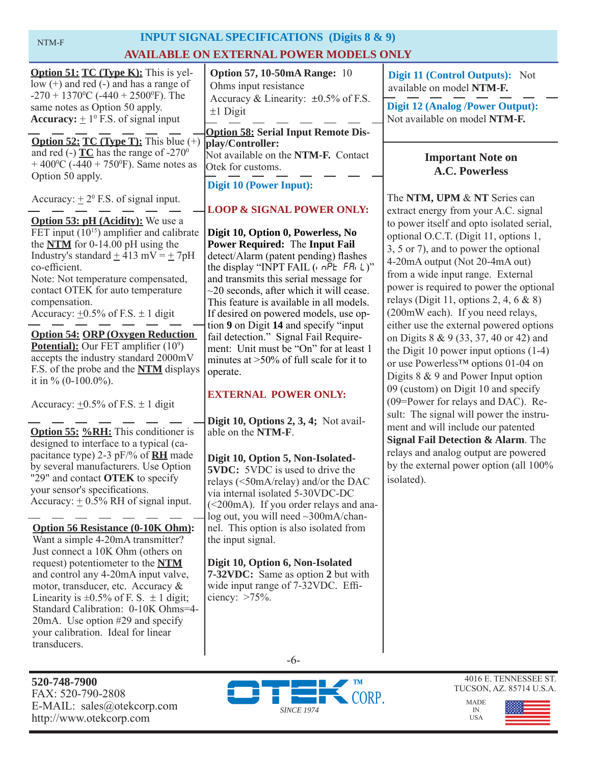| NTM-F                                                                                                                                                                                                                                                                                                                                                                                                                                                                                                                                                                                                      | <b>INPUT SIGNAL SPECIFICATIONS</b> (Digits 8 & 9)                                                                                                                                                                                                                                                                                                                                                                                                                                                                                                                          |                                                                                                                                                                                                                                                                                                                                                                                                                                                                                                                                                                                                                                                                                      |  |
|------------------------------------------------------------------------------------------------------------------------------------------------------------------------------------------------------------------------------------------------------------------------------------------------------------------------------------------------------------------------------------------------------------------------------------------------------------------------------------------------------------------------------------------------------------------------------------------------------------|----------------------------------------------------------------------------------------------------------------------------------------------------------------------------------------------------------------------------------------------------------------------------------------------------------------------------------------------------------------------------------------------------------------------------------------------------------------------------------------------------------------------------------------------------------------------------|--------------------------------------------------------------------------------------------------------------------------------------------------------------------------------------------------------------------------------------------------------------------------------------------------------------------------------------------------------------------------------------------------------------------------------------------------------------------------------------------------------------------------------------------------------------------------------------------------------------------------------------------------------------------------------------|--|
| <b>AVAILABLE ON EXTERNAL POWER MODELS ONLY</b>                                                                                                                                                                                                                                                                                                                                                                                                                                                                                                                                                             |                                                                                                                                                                                                                                                                                                                                                                                                                                                                                                                                                                            |                                                                                                                                                                                                                                                                                                                                                                                                                                                                                                                                                                                                                                                                                      |  |
| <b>Option 51: TC (Type K):</b> This is yel-<br>$low (+)$ and red $(-)$ and has a range of<br>$-270 + 1370$ <sup>o</sup> C ( $-440 + 2500$ <sup>o</sup> F). The                                                                                                                                                                                                                                                                                                                                                                                                                                             | <b>Option 57, 10-50mA Range: 10</b><br>Ohms input resistance<br>Accuracy & Linearity: $\pm 0.5\%$ of F.S.                                                                                                                                                                                                                                                                                                                                                                                                                                                                  | Digit 11 (Control Outputs): Not<br>available on model NTM-F.<br><b>Digit 12 (Analog /Power Output):</b>                                                                                                                                                                                                                                                                                                                                                                                                                                                                                                                                                                              |  |
| same notes as Option 50 apply.<br><b>Accuracy:</b> $\pm 1^0$ F.S. of signal input                                                                                                                                                                                                                                                                                                                                                                                                                                                                                                                          | $±1$ Digit<br><b>Option 58: Serial Input Remote Dis-</b>                                                                                                                                                                                                                                                                                                                                                                                                                                                                                                                   | Not available on model NTM-F.                                                                                                                                                                                                                                                                                                                                                                                                                                                                                                                                                                                                                                                        |  |
| <b>Option 52: TC (Type T):</b> This blue $(+)$<br>and red (-) $TC$ has the range of -270 $^{\circ}$<br>$+400^{\circ}$ C (-440 + 750 <sup>°</sup> F). Same notes as<br>Option 50 apply.                                                                                                                                                                                                                                                                                                                                                                                                                     | play/Controller:<br>Not available on the NTM-F. Contact<br>Otek for customs.<br><b>Digit 10 (Power Input):</b>                                                                                                                                                                                                                                                                                                                                                                                                                                                             | <b>Important Note on</b><br><b>A.C. Powerless</b>                                                                                                                                                                                                                                                                                                                                                                                                                                                                                                                                                                                                                                    |  |
| Accuracy: $\pm 2^{\circ}$ F.S. of signal input.                                                                                                                                                                                                                                                                                                                                                                                                                                                                                                                                                            | <b>LOOP &amp; SIGNAL POWER ONLY:</b>                                                                                                                                                                                                                                                                                                                                                                                                                                                                                                                                       | The NTM, UPM & NT Series can<br>extract energy from your A.C. signal                                                                                                                                                                                                                                                                                                                                                                                                                                                                                                                                                                                                                 |  |
| <b>Option 53: pH (Acidity):</b> We use a<br>FET input $(10^{15})$ amplifier and calibrate<br>the $NTM$ for 0-14.00 pH using the<br>Industry's standard $\pm$ 413 mV = $\pm$ 7pH<br>co-efficient.<br>Note: Not temperature compensated,<br>contact OTEK for auto temperature<br>compensation.<br>Accuracy: $\pm 0.5\%$ of F.S. $\pm$ 1 digit<br><b>Option 54: ORP (Oxygen Reduction)</b><br><b>Potential):</b> Our FET amplifier $(10^9)$<br>accepts the industry standard 2000mV<br>F.S. of the probe and the <b>NTM</b> displays<br>it in $\%$ (0-100.0%).<br>Accuracy: $\pm 0.5\%$ of F.S. $\pm 1$ digit | Digit 10, Option 0, Powerless, No<br><b>Power Required: The Input Fail</b><br>detect/Alarm (patent pending) flashes<br>the display "INPT FAIL $(n \cap P_E F R_L)^{n}$<br>and transmits this serial message for<br>$\sim$ 20 seconds, after which it will cease.<br>This feature is available in all models.<br>If desired on powered models, use op-<br>tion 9 on Digit 14 and specify "input<br>fail detection." Signal Fail Require-<br>ment: Unit must be "On" for at least 1<br>minutes at $>50\%$ of full scale for it to<br>operate.<br><b>EXTERNAL POWER ONLY:</b> | to power itself and opto isolated serial,<br>optional O.C.T. (Digit 11, options 1,<br>3, 5 or 7), and to power the optional<br>4-20mA output (Not 20-4mA out)<br>from a wide input range. External<br>power is required to power the optional<br>relays (Digit 11, options 2, 4, 6 $\&$ 8)<br>(200mW each). If you need relays,<br>either use the external powered options<br>on Digits 8 & 9 (33, 37, 40 or 42) and<br>the Digit 10 power input options $(1-4)$<br>or use Powerless <sup>™</sup> options 01-04 on<br>Digits $8 \& 9$ and Power Input option<br>09 (custom) on Digit 10 and specify<br>(09=Power for relays and DAC). Re-<br>sult: The signal will power the instru- |  |
| <b>Option 55: %RH:</b> This conditioner is<br>designed to interface to a typical (ca-<br>pacitance type) 2-3 pF/% of <b>RH</b> made<br>by several manufacturers. Use Option<br>"29" and contact OTEK to specify<br>your sensor's specifications.<br>Accuracy: $\pm$ 0.5% RH of signal input.<br><b>Option 56 Resistance (0-10K Ohm):</b>                                                                                                                                                                                                                                                                   | Digit 10, Options $2, 3, 4$ ; Not avail-<br>able on the NTM-F.<br>Digit 10, Option 5, Non-Isolated-<br><b>5VDC:</b> 5VDC is used to drive the<br>relays (<50mA/relay) and/or the DAC<br>via internal isolated 5-30VDC-DC<br>(<200mA). If you order relays and ana-<br>log out, you will need ~300mA/chan-<br>nel. This option is also isolated from                                                                                                                                                                                                                        | ment and will include our patented<br>Signal Fail Detection & Alarm. The<br>relays and analog output are powered<br>by the external power option (all 100%<br>isolated).                                                                                                                                                                                                                                                                                                                                                                                                                                                                                                             |  |
| Want a simple 4-20mA transmitter?<br>Just connect a 10K Ohm (others on<br>request) potentiometer to the NTM<br>and control any 4-20mA input valve,<br>motor, transducer, etc. Accuracy &                                                                                                                                                                                                                                                                                                                                                                                                                   | the input signal.<br>Digit 10, Option 6, Non-Isolated<br>7-32VDC: Same as option 2 but with<br>wide input range of 7-32VDC. Effi-                                                                                                                                                                                                                                                                                                                                                                                                                                          |                                                                                                                                                                                                                                                                                                                                                                                                                                                                                                                                                                                                                                                                                      |  |

**520-748-7900** FAX: 520-790-2808 E-MAIL: sales@otekcorp.com http://www.otekcorp.com

transducers.

Linearity is  $\pm 0.5\%$  of F. S.  $\pm 1$  digit; Standard Calibration: 0-10K Ohms=4- 20mA. Use option #29 and specify your calibration. Ideal for linear



-6-

ciency:  $>75\%$ .

4016 E. TENNESSEE ST. TUCSON, AZ. 85714 U.S.A.

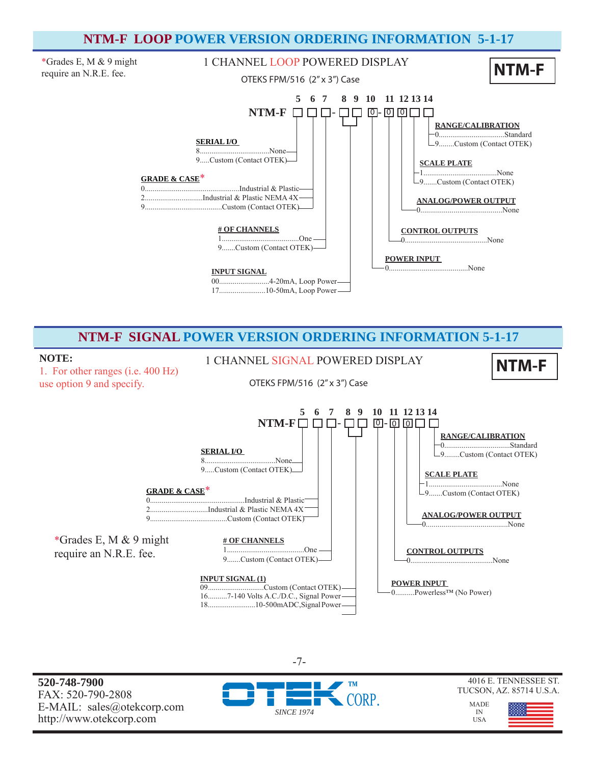# **NTM-F LOOP POWER VERSION ORDERING INFORMATION 5-1-17**



**NTM-F SIGNAL POWER VERSION ORDERING INFORMATION 5-1-17**

1. For other ranges (i.e. 400 Hz) use option 9 and specify.

**NOTE:** 1 CHANNEL SIGNAL POWERED DISPLAY **NTM-F** 

OTEKS FPM/516 (2" x 3") Case



**520-748-7900** FAX: 520-790-2808 E-MAIL: sales@otekcorp.com http://www.otekcorp.com



-7-

#### 4016 E. TENNESSEE ST. TUCSON, AZ. 85714 U.S.A.

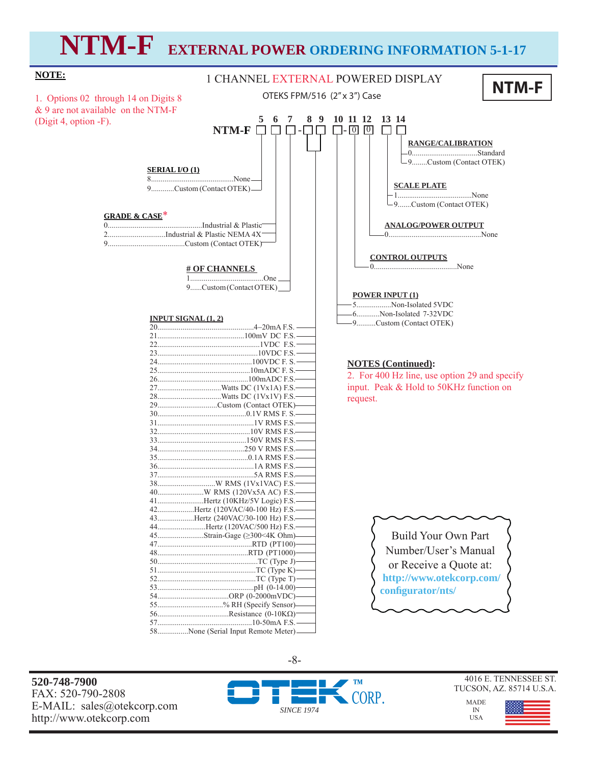# **NTM-F EXTERNAL POWER ORDERING INFORMATION 5-1-17**

#### **NTM-F SERIAL I/O (1)** 8...........................................None 9............Custom (Contact OTEK) **NTM-F □ □ □ -□ □** □ 回 <u>@</u> **# OF CHANNELS**  1......................................One 9......Custom (Contact OTEK)  **5 6 7 8 9 10 11 12 13 14 NOTES (Continued):**  2. For 400 Hz line, use option 29 and specify input. Peak & Hold to 50KHz function on request. 1 CHANNEL EXTERNAL POWERED DISPLAY OTEKS FPM/516 (2" x 3") Case **POWER INPUT (1)** 5..................Non-Isolated 5VDC 6............Non-Isolated 7-32VDC 9..........Custom (Contact OTEK) **CONTROL OUTPUTS** 0...........................................None **RANGE/CALIBRATION** 0..................................Standard 9........Custom (Contact OTEK) **SCALE PLATE** 1.......................................None 9.......Custom (Contact OTEK) **ANALOG/POWER OUTPUT** 0................................................None Build Your Own Part **INPUT SIGNAL (1, 2)**  mA F.S. 21.............................................100mV DC F.S. 22.....................................................1VDC F.S. 23....................................................10VDC F.S. 24.................................................100VDC F. S. 25................................................10mADC F. S. 26...............................................100mADC F.S. 27.................................Watts DC (1Vx1A) F.S. 28.................................Watts DC (1Vx1V) F.S. 29...............................Custom (Contact OTEK) 30..............................................0.1V RMS F. S. 31..................................................1V RMS F.S. 32................................................10V RMS F.S. 33..............................................150V RMS F.S. 34.............................................250 V RMS F.S. 35...............................................0.1A RMS F.S. 36..................................................1A RMS F.S. 37..................................................5A RMS F.S. 38..............................W RMS (1Vx1VAC) F.S. 40........................W RMS (120Vx5A AC) F.S. 41........................Hertz (10KHz/5V Logic) F.S. 42...................Hertz (120VAC/40-100 Hz) F.S. 43...................Hertz (240VAC/30-100 Hz) F.S. 44.........................Hertz (120VAC/500 Hz) F.S. 45........................Strain-Gage (≥300<4K Ohm) 47.................................................RTD (PT100) 48...............................................RTD (PT1000) **NOTE:** 1. Options 02 through 14 on Digits 8 & 9 are not available on the NTM-F (Digit 4, option -F). **GRADE & CASE**\* 0.................................................Industrial & Plastic 2..............................Industrial & Plastic NEMA 4X 9........................................Custom (Contact OTEK)

Number/User's Manual or Receive a Quote at:  **http://www.otekcorp.com/ confi gurator/nts/**

**520-748-7900** FAX: 520-790-2808 E-MAIL: sales@otekcorp.com http://www.otekcorp.com



4016 E. TENNESSEE ST. TUCSON, AZ. 85714 U.S.A.

> MADE IN USA



-8-

50....................................................TC (Type J) 51...................................................TC (Type K) 52...................................................TC (Type T) 53..................................................pH (0-14.00) 54.....................................ORP (0-2000mVDC) 55..................................% RH (Specify Sensor) 56.....................................Resistance (0-10K 10-50mA F.S. 58................None (Serial Input Remote Meter).